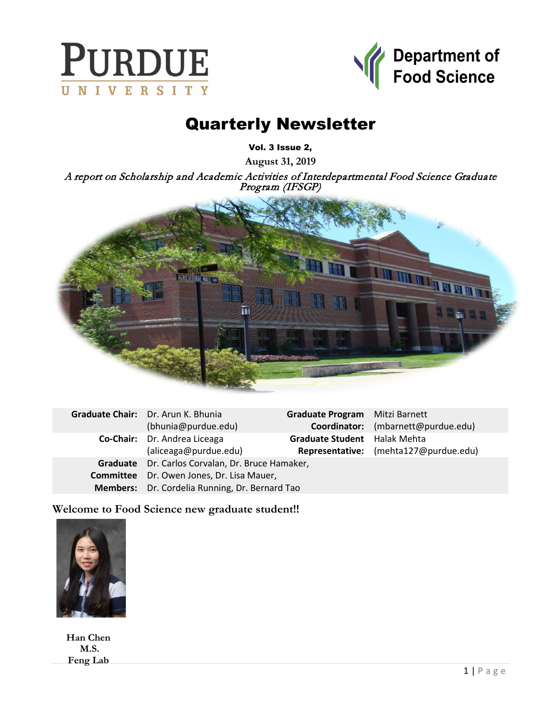



# Quarterly Newsletter

Vol. 3 Issue 2,

**August 31, 2019**

A report on Scholarship and Academic Activities of Interdepartmental Food Science Graduate Program (IFSGP)



| Graduate Chair: Dr. Arun K. Bhunia               | Graduate Program Mitzi Barnett |                                       |
|--------------------------------------------------|--------------------------------|---------------------------------------|
| (bhunia@purdue.edu)                              |                                | Coordinator: (mbarnett@purdue.edu)    |
| Co-Chair: Dr. Andrea Liceaga                     | Graduate Student Halak Mehta   |                                       |
| (aliceaga@purdue.edu)                            |                                | Representative: (mehta127@purdue.edu) |
| Graduate Dr. Carlos Corvalan, Dr. Bruce Hamaker, |                                |                                       |
| <b>Committee</b> Dr. Owen Jones, Dr. Lisa Mauer, |                                |                                       |
| Members: Dr. Cordelia Running, Dr. Bernard Tao   |                                |                                       |

**Welcome to Food Science new graduate student!!**



**Han Chen M.S. Feng Lab**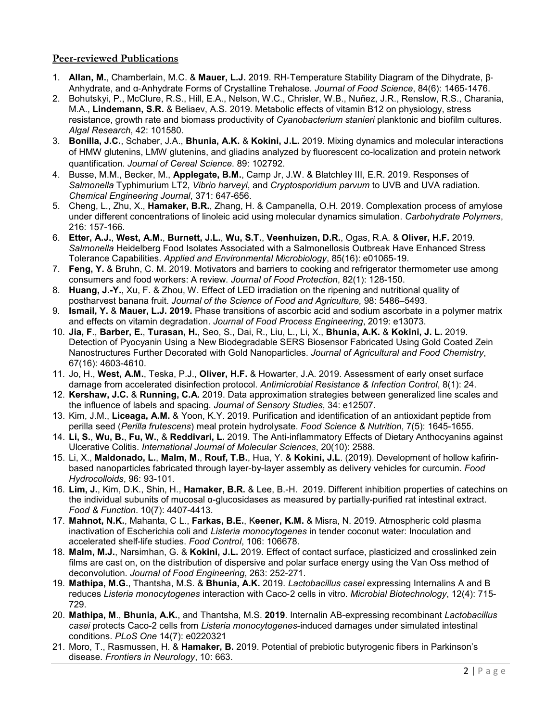# **Peer-reviewed Publications**

- 1. **Allan, M.**, Chamberlain, M.C. & **Mauer, L.J.** 2019. RH‐Temperature Stability Diagram of the Dihydrate, β‐ Anhydrate, and α‐Anhydrate Forms of Crystalline Trehalose. *Journal of Food Science*, 84(6): 1465-1476.
- 2. Bohutskyi, P., McClure, R.S., Hill, E.A., Nelson, W.C., Chrisler, W.B., Nuñez, J.R., Renslow, R.S., Charania, M.A., **Lindemann, S.R.** & Beliaev, A.S. 2019. Metabolic effects of vitamin B12 on physiology, stress resistance, growth rate and biomass productivity of *Cyanobacterium stanieri* planktonic and biofilm cultures. *Algal Research*, 42: 101580.
- 3. **Bonilla, J.C.**, Schaber, J.A., **Bhunia, A.K.** & **Kokini, J.L.** 2019. Mixing dynamics and molecular interactions of HMW glutenins, LMW glutenins, and gliadins analyzed by fluorescent co-localization and protein network quantification. *Journal of Cereal Science*. 89: 102792.
- 4. Busse, M.M., Becker, M., **Applegate, B.M.**, Camp Jr, J.W. & Blatchley III, E.R. 2019. Responses of *Salmonella* Typhimurium LT2, *Vibrio harveyi*, and *Cryptosporidium parvum* to UVB and UVA radiation. *Chemical Engineering Journal*, 371: 647-656.
- 5. Cheng, L., Zhu, X., **Hamaker, B.R.**, Zhang, H. & Campanella, O.H. 2019. Complexation process of amylose under different concentrations of linoleic acid using molecular dynamics simulation. *Carbohydrate Polymers*, 216: 157-166.
- 6. **Etter, A.J.**, **West, A.M.**, **Burnett, J.L.**, **Wu, S.T.**, **Veenhuizen, D.R.**, Ogas, R.A. & **Oliver, H.F.** 2019. *Salmonella* Heidelberg Food Isolates Associated with a Salmonellosis Outbreak Have Enhanced Stress Tolerance Capabilities. *Applied and Environmental Microbiology*, 85(16): e01065-19.
- 7. **Feng, Y.** & Bruhn, C. M. 2019. Motivators and barriers to cooking and refrigerator thermometer use among consumers and food workers: A review. *Journal of Food Protection*, 82(1): 128-150.
- 8. **Huang, J.-Y.**, Xu, F. & Zhou, W. Effect of LED irradiation on the ripening and nutritional quality of postharvest banana fruit. *Journal of the Science of Food and Agriculture,* 98: 5486–5493.
- 9. **Ismail, Y.** & **Mauer, L.J. 2019.** Phase transitions of ascorbic acid and sodium ascorbate in a polymer matrix and effects on vitamin degradation. *Journal of Food Process Engineering*, 2019: e13073.
- 10. **Jia, F**., **Barber, E.**, **Turasan, H.**, Seo, S., Dai, R., Liu, L., Li, X., **Bhunia, A.K.** & **Kokini, J. L.** 2019. Detection of Pyocyanin Using a New Biodegradable SERS Biosensor Fabricated Using Gold Coated Zein Nanostructures Further Decorated with Gold Nanoparticles. *Journal of Agricultural and Food Chemistry*, 67(16): 4603-4610.
- 11. Jo, H., **West, A.M.**, Teska, P.J., **Oliver, H.F.** & Howarter, J.A. 2019. Assessment of early onset surface damage from accelerated disinfection protocol. *Antimicrobial Resistance & Infection Control*, 8(1): 24.
- 12. **Kershaw, J.C.** & **Running, C.A.** 2019. Data approximation strategies between generalized line scales and the influence of labels and spacing. *Journal of Sensory Studies*, 34: e12507.
- 13. Kim, J.M., **Liceaga, A.M.** & Yoon, K.Y. 2019. Purification and identification of an antioxidant peptide from perilla seed (*Perilla frutescens*) meal protein hydrolysate. *Food Science & Nutrition*, 7(5): 1645-1655.
- 14. **Li, S.**, **Wu, B.**, **Fu, W.**, & **Reddivari, L.** 2019. The Anti-inflammatory Effects of Dietary Anthocyanins against Ulcerative Colitis. *International Journal of Molecular Sciences*, 20(10): 2588.
- 15. Li, X., **Maldonado, L.**, **Malm, M.**, **Rouf, T.B.**, Hua, Y. & **Kokini, J.L**. (2019). Development of hollow kafirinbased nanoparticles fabricated through layer-by-layer assembly as delivery vehicles for curcumin. *Food Hydrocolloids*, 96: 93-101.
- 16. **Lim, J.**, Kim, D.K., Shin, H., **Hamaker, B.R.** & Lee, B.-H. 2019. Different inhibition properties of catechins on the individual subunits of mucosal α-glucosidases as measured by partially-purified rat intestinal extract. *Food & Function*. 10(7): 4407-4413.
- 17. **Mahnot, N.K.**, Mahanta, C L., **Farkas, B.E.**, K**eener, K.M.** & Misra, N. 2019. Atmospheric cold plasma inactivation of Escherichia coli and *Listeria monocytogenes* in tender coconut water: Inoculation and accelerated shelf-life studies. *Food Control*, 106: 106678.
- 18. **Malm, M.J.**, Narsimhan, G. & **Kokini, J.L.** 2019. Effect of contact surface, plasticized and crosslinked zein films are cast on, on the distribution of dispersive and polar surface energy using the Van Oss method of deconvolution. *Journal of Food Engineering*, 263: 252-271.
- 19. **Mathipa, M.G.**, Thantsha, M.S. & **Bhunia, A.K.** 2019. *Lactobacillus casei* expressing Internalins A and B reduces *Listeria monocytogenes* interaction with Caco‐2 cells in vitro. *Microbial Biotechnology*, 12(4): 715- 729.
- 20. **Mathipa, M**., **Bhunia, A.K.**, and Thantsha, M.S. **2019**. Internalin AB-expressing recombinant *Lactobacillus casei* protects Caco-2 cells from *Listeria monocytogenes*-induced damages under simulated intestinal conditions. *PLoS One* 14(7): e0220321
- 21. Moro, T., Rasmussen, H. & **Hamaker, B.** 2019. Potential of prebiotic butyrogenic fibers in Parkinson's disease. *Frontiers in Neurology*, 10: 663.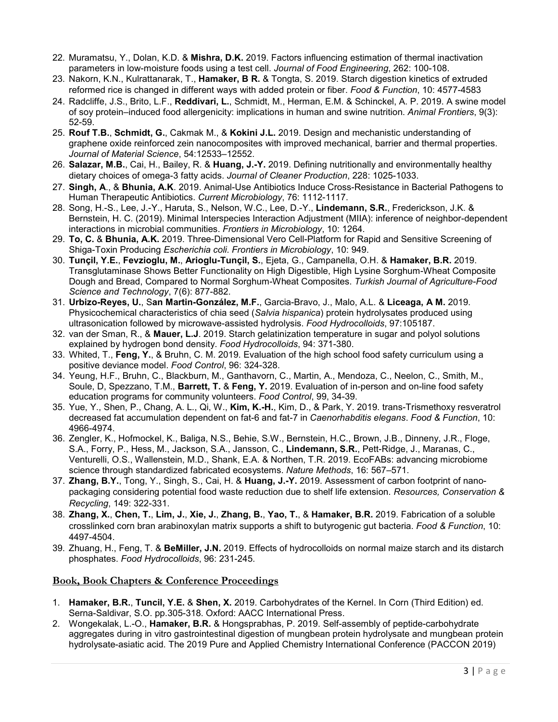- 22. Muramatsu, Y., Dolan, K.D. & **Mishra, D.K.** 2019. Factors influencing estimation of thermal inactivation parameters in low-moisture foods using a test cell. *Journal of Food Engineering*, 262: 100-108.
- 23. Nakorn, K.N., Kulrattanarak, T., **Hamaker, B R.** & Tongta, S. 2019. Starch digestion kinetics of extruded reformed rice is changed in different ways with added protein or fiber. *Food & Function*, 10: 4577-4583
- 24. Radcliffe, J.S., Brito, L.F., **Reddivari, L.**, Schmidt, M., Herman, E.M. & Schinckel, A. P. 2019. A swine model of soy protein–induced food allergenicity: implications in human and swine nutrition. *Animal Frontiers*, 9(3): 52-59.
- 25. **Rouf T.B.**, **Schmidt, G.**, Cakmak M., & **Kokini J.L.** 2019. Design and mechanistic understanding of graphene oxide reinforced zein nanocomposites with improved mechanical, barrier and thermal properties. *Journal of Material Science*, 54:12533–12552.
- 26. **Salazar, M.B.**, Cai, H., Bailey, R. & **Huang, J.-Y.** 2019. Defining nutritionally and environmentally healthy dietary choices of omega-3 fatty acids. *Journal of Cleaner Production*, 228: 1025-1033.
- 27. **Singh, A**., & **Bhunia, A.K**. 2019. Animal-Use Antibiotics Induce Cross-Resistance in Bacterial Pathogens to Human Therapeutic Antibiotics. *Current Microbiology*, 76: 1112-1117.
- 28. Song, H.-S., Lee, J.-Y., Haruta, S., Nelson, W.C., Lee, D.-Y., **Lindemann, S.R.**, Frederickson, J.K. & Bernstein, H. C. (2019). Minimal Interspecies Interaction Adjustment (MIIA): inference of neighbor-dependent interactions in microbial communities. *Frontiers in Microbiology*, 10: 1264.
- 29. **To, C.** & **Bhunia, A.K.** 2019. Three-Dimensional Vero Cell-Platform for Rapid and Sensitive Screening of Shiga-Toxin Producing *Escherichia coli*. *Frontiers in Microbiology*, 10: 949.
- 30. **Tunçil, Y.E.**, **Fevzioglu, M.**, **Arioglu-Tunçil, S.**, Ejeta, G., Campanella, O.H. & **Hamaker, B.R.** 2019. Transglutaminase Shows Better Functionality on High Digestible, High Lysine Sorghum-Wheat Composite Dough and Bread, Compared to Normal Sorghum-Wheat Composites. *Turkish Journal of Agriculture-Food Science and Technology*, 7(6): 877-882.
- 31. **Urbizo-Reyes, U.**, S**an Martin-González, M.F.**, Garcia-Bravo, J., Malo, A.L. & **Liceaga, A M.** 2019. Physicochemical characteristics of chia seed (*Salvia hispanica*) protein hydrolysates produced using ultrasonication followed by microwave-assisted hydrolysis. *Food Hydrocolloids*, 97:105187.
- 32. van der Sman, R., & **Mauer, L.J**. 2019. Starch gelatinization temperature in sugar and polyol solutions explained by hydrogen bond density. *Food Hydrocolloids*, 94: 371-380.
- 33. Whited, T., **Feng, Y.**, & Bruhn, C. M. 2019. Evaluation of the high school food safety curriculum using a positive deviance model. *Food Control*, 96: 324-328.
- 34. Yeung, H.F., Bruhn, C., Blackburn, M., Ganthavorn, C., Martin, A., Mendoza, C., Neelon, C., Smith, M., Soule, D, Spezzano, T.M., **Barrett, T.** & **Feng, Y.** 2019. Evaluation of in-person and on-line food safety education programs for community volunteers. *Food Control*, 99, 34-39.
- 35. Yue, Y., Shen, P., Chang, A. L., Qi, W., **Kim, K.-H.**, Kim, D., & Park, Y. 2019. trans-Trismethoxy resveratrol decreased fat accumulation dependent on fat-6 and fat-7 in *Caenorhabditis elegans*. *Food & Function*, 10: 4966-4974.
- 36. Zengler, K., Hofmockel, K., Baliga, N.S., Behie, S.W., Bernstein, H.C., Brown, J.B., Dinneny, J.R., Floge, S.A., Forry, P., Hess, M., Jackson, S.A., Jansson, C., **Lindemann, S.R.**, Pett-Ridge, J., Maranas, C., Venturelli, O.S., Wallenstein, M.D., Shank, E.A. & Northen, T.R. 2019. EcoFABs: advancing microbiome science through standardized fabricated ecosystems. *Nature Methods*, 16: 567–571.
- 37. **Zhang, B.Y.**, Tong, Y., Singh, S., Cai, H. & **Huang, J.-Y.** 2019. Assessment of carbon footprint of nanopackaging considering potential food waste reduction due to shelf life extension. *Resources, Conservation & Recycling*, 149: 322-331.
- 38. **Zhang, X.**, **Chen, T.**, **Lim, J.**, **Xie, J.**, **Zhang, B.**, **Yao, T.**, & **Hamaker, B.R.** 2019. Fabrication of a soluble crosslinked corn bran arabinoxylan matrix supports a shift to butyrogenic gut bacteria. *Food & Function*, 10: 4497-4504.
- 39. Zhuang, H., Feng, T. & **BeMiller, J.N.** 2019. Effects of hydrocolloids on normal maize starch and its distarch phosphates. *Food Hydrocolloids*, 96: 231-245.

### **Book, Book Chapters & Conference Proceedings**

- 1. **Hamaker, B.R.**, **Tuncil, Y.E.** & **Shen, X.** 2019. Carbohydrates of the Kernel. In Corn (Third Edition) ed. Serna-Saldivar, S.O. pp.305-318. Oxford: AACC International Press.
- 2. Wongekalak, L.-O., **Hamaker, B.R.** & Hongsprabhas, P. 2019. Self-assembly of peptide-carbohydrate aggregates during in vitro gastrointestinal digestion of mungbean protein hydrolysate and mungbean protein hydrolysate-asiatic acid. The 2019 Pure and Applied Chemistry International Conference (PACCON 2019)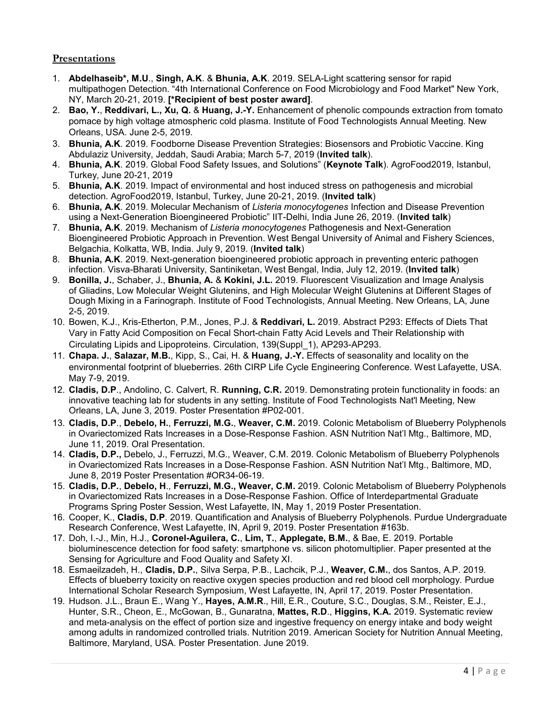# **Presentations**

- 1. **Abdelhaseib\*, M.U**., **Singh, A.K**. & **Bhunia, A.K**. 2019. SELA-Light scattering sensor for rapid multipathogen Detection. "4th International Conference on Food Microbiology and Food Market" New York, NY, March 20-21, 2019. **[\*Recipient of best poster award]**.
- 2. **Bao, Y.**, **Reddivari, L., Xu, Q.** & **Huang, J.-Y.** Enhancement of phenolic compounds extraction from tomato pomace by high voltage atmospheric cold plasma. Institute of Food Technologists Annual Meeting. New Orleans, USA. June 2-5, 2019.
- 3. **Bhunia, A.K**. 2019. Foodborne Disease Prevention Strategies: Biosensors and Probiotic Vaccine. King Abdulaziz University, Jeddah, Saudi Arabia; March 5-7, 2019 (**Invited talk**).
- 4. **Bhunia, A.K**. 2019. Global Food Safety Issues, and Solutions" (**Keynote Talk**). AgroFood2019, Istanbul, Turkey, June 20-21, 2019
- 5. **Bhunia, A.K**. 2019. Impact of environmental and host induced stress on pathogenesis and microbial detection. AgroFood2019, Istanbul, Turkey, June 20-21, 2019. (**Invited talk**)
- 6. **Bhunia, A.K**. 2019. Molecular Mechanism of *Listeria monocytogenes* Infection and Disease Prevention using a Next-Generation Bioengineered Probiotic" IIT-Delhi, India June 26, 2019. (**Invited talk**)
- 7. **Bhunia, A.K**. 2019. Mechanism of *Listeria monocytogenes* Pathogenesis and Next-Generation Bioengineered Probiotic Approach in Prevention. West Bengal University of Animal and Fishery Sciences, Belgachia, Kolkatta, WB, India. July 9, 2019. (**Invited talk**)
- 8. **Bhunia, A.K**. 2019. Next-generation bioengineered probiotic approach in preventing enteric pathogen infection. Visva-Bharati University, Santiniketan, West Bengal, India, July 12, 2019. (**Invited talk**)
- 9. **Bonilla, J.**, Schaber, J., **Bhunia, A.** & **Kokini, J.L.** 2019. Fluorescent Visualization and Image Analysis of Gliadins, Low Molecular Weight Glutenins, and High Molecular Weight Glutenins at Different Stages of Dough Mixing in a Farinograph. Institute of Food Technologists, Annual Meeting. New Orleans, LA, June 2-5, 2019.
- 10. Bowen, K.J., Kris-Etherton, P.M., Jones, P.J. & **Reddivari, L.** 2019. Abstract P293: Effects of Diets That Vary in Fatty Acid Composition on Fecal Short-chain Fatty Acid Levels and Their Relationship with Circulating Lipids and Lipoproteins. Circulation, 139(Suppl\_1), AP293-AP293.
- 11. **Chapa. J.**, **Salazar, M.B.**, Kipp, S., Cai, H. & **Huang, J.-Y.** Effects of seasonality and locality on the environmental footprint of blueberries. 26th CIRP Life Cycle Engineering Conference. West Lafayette, USA. May 7-9, 2019.
- 12. **Cladis, D.P**., Andolino, C. Calvert, R. **Running, C.R.** 2019. Demonstrating protein functionality in foods: an innovative teaching lab for students in any setting. Institute of Food Technologists Nat'l Meeting, New Orleans, LA, June 3, 2019. Poster Presentation #P02-001.
- 13. **Cladis, D.P**., **Debelo, H.**, **Ferruzzi, M.G.**, **Weaver, C.M.** 2019. Colonic Metabolism of Blueberry Polyphenols in Ovariectomized Rats Increases in a Dose-Response Fashion. ASN Nutrition Nat'l Mtg., Baltimore, MD, June 11, 2019. Oral Presentation.
- 14. **Cladis, D.P.,** Debelo, J., Ferruzzi, M.G., Weaver, C.M. 2019. Colonic Metabolism of Blueberry Polyphenols in Ovariectomized Rats Increases in a Dose-Response Fashion. ASN Nutrition Nat'l Mtg., Baltimore, MD, June 8, 2019 Poster Presentation #OR34-06-19.
- 15. **Cladis, D.P***.*, **Debelo, H**., **Ferruzzi, M.G., Weaver, C.M.** 2019. Colonic Metabolism of Blueberry Polyphenols in Ovariectomized Rats Increases in a Dose-Response Fashion. Office of Interdepartmental Graduate Programs Spring Poster Session, West Lafayette, IN, May 1, 2019 Poster Presentation.
- 16. Cooper, K., **Cladis, D.P**. 2019. Quantification and Analysis of Blueberry Polyphenols. Purdue Undergraduate Research Conference, West Lafayette, IN, April 9, 2019. Poster Presentation #163b.
- 17. Doh, I.-J., Min, H.J., **Coronel-Aguilera, C.**, **Lim, T.**, **Applegate, B.M.**, & Bae, E. 2019. Portable bioluminescence detection for food safety: smartphone vs. silicon photomultiplier. Paper presented at the Sensing for Agriculture and Food Quality and Safety XI.
- 18. Esmaeilzadeh, H., **Cladis, D.P.**, Silva Serpa, P.B., Lachcik, P.J., **Weaver, C.M.**, dos Santos, A.P. 2019. Effects of blueberry toxicity on reactive oxygen species production and red blood cell morphology. Purdue International Scholar Research Symposium, West Lafayette, IN, April 17, 2019. Poster Presentation.
- 19. Hudson. J.L., Braun E., Wang Y., **Hayes, A.M.R**., Hill, E.R., Couture, S.C., Douglas, S.M., Reister, E.J., Hunter, S.R., Cheon, E., McGowan, B., Gunaratna, **Mattes, R.D**., **Higgins, K.A.** 2019. Systematic review and meta-analysis on the effect of portion size and ingestive frequency on energy intake and body weight among adults in randomized controlled trials. Nutrition 2019. American Society for Nutrition Annual Meeting, Baltimore, Maryland, USA. Poster Presentation. June 2019.